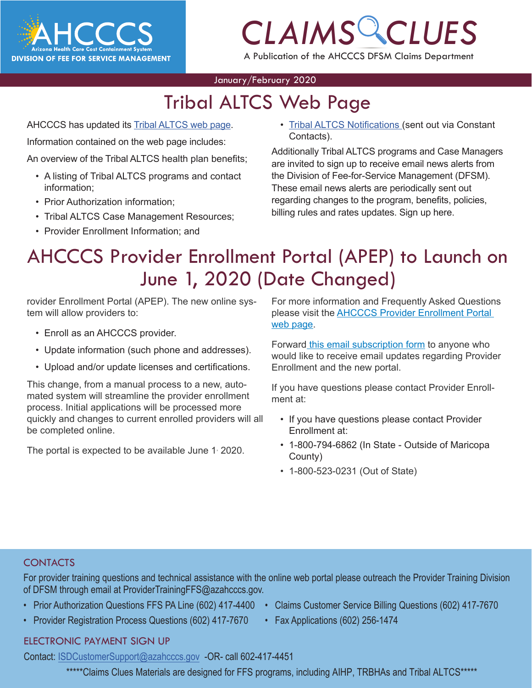

# *CLAIMS CLUES*

A Publication of the AHCCCS DFSM Claims Department

#### January/February 2020

# Tribal ALTCS Web Page

AHCCCS has updated its [Tribal ALTCS web page.](https://www.azahcccs.gov/PlansProviders/FeeForServiceHealthPlans/ProgramsAndPopulations/longtermcarecasemanagement.html)

Information contained on the web page includes:

An overview of the Tribal ALTCS health plan benefits;

- A listing of Tribal ALTCS programs and contact information;
- Prior Authorization information;
- Tribal ALTCS Case Management Resources;
- Provider Enrollment Information; and

**[CLAIMS](https://www.azahcccs.gov/PlansProviders/FeeForServiceHealthPlans/ProgramsAndPopulations/tribalaltcsnotifications.html)**<br><u>CLAIMS</u><br>Claims (sent out via Constant<br>Macts). • Tribal ALTCS Notifications (sent out via Constant Contacts).

Additionally Tribal ALTCS programs and Case Managers are invited to sign up to receive email news alerts from the Division of Fee-for-Service Management (DFSM). These email news alerts are periodically sent out regarding changes to the program, benefits, policies, billing rules and rates updates. Sign up [here.](https://visitor.r20.constantcontact.com/manage/optin?v=001gF-kjPbNwUl4qTFXa25yg7PI-lJiYCg93XrtPtORBVs5LfBVH0-8vbcm12yD-2XXtSsqiYUBOmMmlkrI8ahm_2YiyBfBDlwfmRmEGrovUOSP6DcA-KbmT-Ql0Lmk0PExgqaWuvz6fV2kNwVjevvO11fbEYfxSl5MtPdTd_x0b-d44ezL3scdyI-S4QgYEsLUgwtSDvtSPxE%3D)

## AHCCCS Provider Enrollment Portal (APEP) to Launch on June 1, 2020 (Date Changed)

rovider Enrollment Portal (APEP). The new online system will allow providers to:

- Enroll as an AHCCCS provider.
- Update information (such phone and addresses).
- Upload and/or update licenses and certifications.

This change, from a manual process to a new, automated system will streamline the provider enrollment process. Initial applications will be processed more quickly and changes to current enrolled providers will all be completed online.

The portal is expected to be available June 1 2020.

For more information and Frequently Asked Questions please visit the [AHCCCS Provider Enrollment Portal](https://www.azahcccs.gov/PlansProviders/NewProviders/APEP.html)  [web page](https://www.azahcccs.gov/PlansProviders/NewProviders/APEP.html).

Forward [this email subscription form](https://visitor.r20.constantcontact.com/manage/optin?v=001gF-kjPbNwUnRFFFq915Hq0WaTObiteBdiPD_exzc-3iA39q3tDlq4vxb4ZqhZVAL3tqPSPiIoSBS4mUOeQFk7lGeXc_xo2F3UJRa8hvzs0wN-y6AVu_XoCBZf_9AZNbdgjy41DHAIXBLBqjMd5rPsCukG5_uVcEvK8IQSVCBC1Ta6fhiWKDdhFcvMY5-PE-TPDmvIw2ULqYVFfk1RGPmKN6WrANGFSnw) to anyone who would like to receive email updates regarding Provider Enrollment and the new portal.

If you have questions please contact Provider Enrollment at:

- If you have questions please contact Provider Enrollment at:
- 1-800-794-6862 (In State Outside of Maricopa County)
- 1-800-523-0231 (Out of State)

#### **CONTACTS**

For provider training questions and technical assistance with the online web portal please outreach the Provider Training Division of DFSM through email at ProviderTrainingFFS@azahcccs.gov.

- Prior Authorization Questions FFS PA Line (602) 417-4400 Claims Customer Service Billing Questions (602) 417-7670
- Provider Registration Process Questions (602) 417-7670 Fax Applications (602) 256-1474
- 
- 
- 
- [ELECTRONIC PAYMENT SIGN UP](mailto:ProviderTrainingFFS%40azahcccs.gov%20?subject=)

[Contact: ISDCustomerSupport@azahcccs.gov -OR- call 602-417-4451](mailto:ProviderTrainingFFS%40azahcccs.gov%20?subject=)

\*\*\*\*\*Claims Clues Materials are designed for FFS programs, including AIHP, TRBHAs and Tribal ALTCS\*\*\*\*\*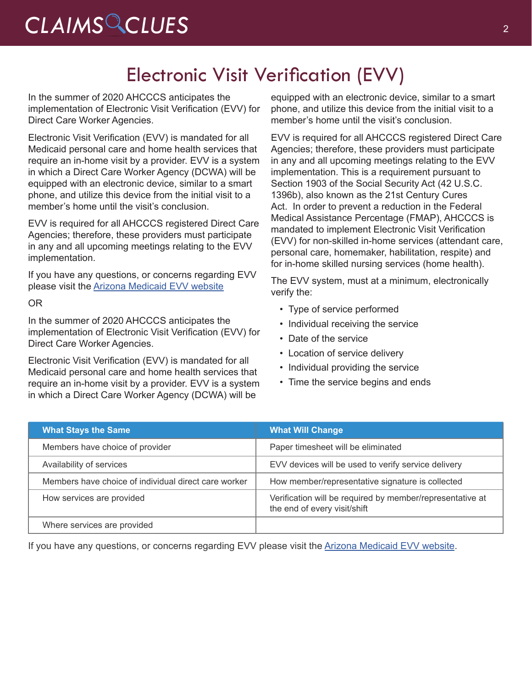# *CLAIMS CLUES* <sup>2</sup>

### Electronic Visit Verification (EVV)

In the summer of 2020 AHCCCS anticipates the implementation of Electronic Visit Verification (EVV) for Direct Care Worker Agencies.

Electronic Visit Verification (EVV) is mandated for all Medicaid personal care and home health services that require an in-home visit by a provider. EVV is a system in which a Direct Care Worker Agency (DCWA) will be equipped with an electronic device, similar to a smart phone, and utilize this device from the initial visit to a member's home until the visit's conclusion.

EVV is required for all AHCCCS registered Direct Care Agencies; therefore, these providers must participate in any and all upcoming meetings relating to the EVV implementation.

If you have any questions, or concerns regarding EVV please visit the [Arizona Medicaid EVV website](https://www.azahcccs.gov/AHCCCS/Initiatives/EVV/)

OR

In the summer of 2020 AHCCCS anticipates the implementation of Electronic Visit Verification (EVV) for Direct Care Worker Agencies.

Electronic Visit Verification (EVV) is mandated for all Medicaid personal care and home health services that require an in-home visit by a provider. EVV is a system in which a Direct Care Worker Agency (DCWA) will be

equipped with an electronic device, similar to a smart phone, and utilize this device from the initial visit to a member's home until the visit's conclusion.

EVV is required for all AHCCCS registered Direct Care Agencies; therefore, these providers must participate in any and all upcoming meetings relating to the EVV implementation. This is a requirement pursuant to Section 1903 of the Social Security Act (42 U.S.C. 1396b), also known as the 21st Century Cures Act. In order to prevent a reduction in the Federal Medical Assistance Percentage (FMAP), AHCCCS is mandated to implement Electronic Visit Verification (EVV) for non-skilled in-home services (attendant care, personal care, homemaker, habilitation, respite) and for in-home skilled nursing services (home health).

The EVV system, must at a minimum, electronically verify the:

- Type of service performed
- Individual receiving the service
- Date of the service
- Location of service delivery
- Individual providing the service
- Time the service begins and ends

| <b>What Stays the Same</b>                           | <b>What Will Change</b>                                                                   |
|------------------------------------------------------|-------------------------------------------------------------------------------------------|
| Members have choice of provider                      | Paper timesheet will be eliminated                                                        |
| Availability of services                             | EVV devices will be used to verify service delivery                                       |
| Members have choice of individual direct care worker | How member/representative signature is collected                                          |
| How services are provided                            | Verification will be required by member/representative at<br>the end of every visit/shift |
| Where services are provided                          |                                                                                           |

If you have any questions, or concerns regarding EVV please visit the [Arizona Medicaid EVV website](https://www.azahcccs.gov/AHCCCS/Initiatives/EVV/).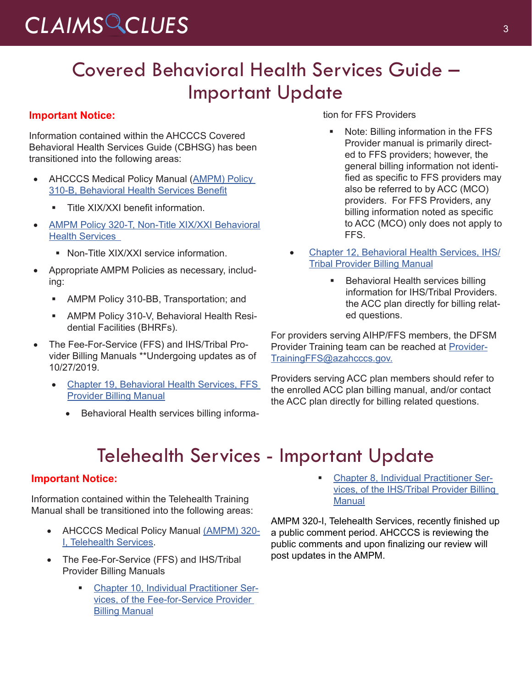# CLAIMS CLUES<sup>3</sup>

## Covered Behavioral Health Services Guide – Important Update

#### **Important Notice:**

Information contained within the AHCCCS Covered Behavioral Health Services Guide (CBHSG) has been transitioned into the following areas:

- **AHCCCS Medical Policy Manual (AMPM) Policy** [310-B, Behavioral Health Services Benefit](https://www.azahcccs.gov/shared/Downloads/MedicalPolicyManual/310B.pdf)
	- Title XIX/XXI benefit information.
- AMPM Policy 320-T, Non-Title XIX/XXI Behavioral [Health Services](https://www.azahcccs.gov/shared/Downloads/MedicalPolicyManual/320T.pdf) 
	- Non-Title XIX/XXI service information.
- Appropriate AMPM Policies as necessary, including:
	- **AMPM Policy 310-BB, Transportation; and**
	- **AMPM Policy 310-V, Behavioral Health Resi**dential Facilities (BHRFs).
- The Fee-For-Service (FFS) and IHS/Tribal Provider Billing Manuals \*\*Undergoing updates as of 10/27/2019.
	- Chapter 19, Behavioral Health Services, FFS [Provider Billing Manual](https://www.azahcccs.gov/shared/Downloads/MedicalPolicyManual/310B.pdf)
		- Behavioral Health services billing informa-

tion for FFS Providers

- Note: Billing information in the FFS Provider manual is primarily directed to FFS providers; however, the general billing information not identified as specific to FFS providers may also be referred to by ACC (MCO) providers. For FFS Providers, any billing information noted as specific to ACC (MCO) only does not apply to FFS.
- [Chapter 12, Behavioral Health Services, IHS/](https://www.azahcccs.gov/PlansProviders/Downloads/IHS-TribalManual/IHS-Chap12BehavioralHealth.pdf) [Tribal Provider Billing Manual](https://www.azahcccs.gov/PlansProviders/Downloads/IHS-TribalManual/IHS-Chap12BehavioralHealth.pdf)
	- Behavioral Health services billing information for IHS/Tribal Providers. the ACC plan directly for billing related questions.

For providers serving AIHP/FFS members, the DFSM Provider Training team can be reached at [Provider-](mailto:ProviderTrainingFFS@azahcccs.gov)[TrainingFFS@azahcccs.gov.](mailto:ProviderTrainingFFS@azahcccs.gov)

Providers serving ACC plan members should refer to the enrolled ACC plan billing manual, and/or contact the ACC plan directly for billing related questions.

# Telehealth Services - Important Update

#### **Important Notice:**

Information contained within the Telehealth Training Manual shall be transitioned into the following areas:

- AHCCCS Medical Policy Manual [\(AMPM\) 320-](https://www.azahcccs.gov/shared/Downloads/MedicalPolicyManual/300/320-I.pdf) [I, Telehealth Services](https://www.azahcccs.gov/shared/Downloads/MedicalPolicyManual/300/320-I.pdf).
- The Fee-For-Service (FFS) and IHS/Tribal Provider Billing Manuals
	- [Chapter 10, Individual Practitioner Ser](https://www.azahcccs.gov/PlansProviders/Downloads/FFSProviderManual/FFS_Chap10.pdf)[vices, of the Fee-for-Service Provider](https://www.azahcccs.gov/PlansProviders/Downloads/FFSProviderManual/FFS_Chap10.pdf)  [Billing Manual](https://www.azahcccs.gov/PlansProviders/Downloads/FFSProviderManual/FFS_Chap10.pdf)

 [Chapter 8, Individual Practitioner Ser](https://www.azahcccs.gov/PlansProviders/Downloads/IHS-TribalManual/IHS-Chap08IndivPractitionerSvcs.pdf)[vices, of the IHS/Tribal Provider Billing](https://www.azahcccs.gov/PlansProviders/Downloads/IHS-TribalManual/IHS-Chap08IndivPractitionerSvcs.pdf)  **[Manual](https://www.azahcccs.gov/PlansProviders/Downloads/IHS-TribalManual/IHS-Chap08IndivPractitionerSvcs.pdf)** 

AMPM 320-I, Telehealth Services, recently finished up a public comment period. AHCCCS is reviewing the public comments and upon finalizing our review will post updates in the AMPM.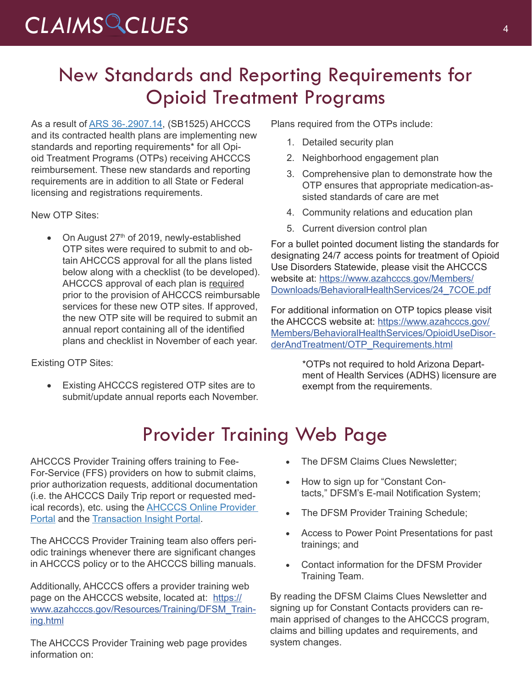# *CLAIMS CLUES* <sup>4</sup>

## New Standards and Reporting Requirements for Opioid Treatment Programs

As a result of [ARS 36-.2907.14](https://www.azleg.gov/viewDocument/?docName=http://www.azleg.gov/ars/36/02907-14.htm), (SB1525) AHCCCS and its contracted health plans are implementing new standards and reporting requirements\* for all Opioid Treatment Programs (OTPs) receiving AHCCCS reimbursement. These new standards and reporting requirements are in addition to all State or Federal licensing and registrations requirements.

New OTP Sites:

• On August  $27<sup>th</sup>$  of 2019, newly-established OTP sites were required to submit to and obtain AHCCCS approval for all the plans listed below along with a checklist (to be developed). AHCCCS approval of each plan is required prior to the provision of AHCCCS reimbursable services for these new OTP sites. If approved, the new OTP site will be required to submit an annual report containing all of the identified plans and checklist in November of each year.

Existing OTP Sites:

Existing AHCCCS registered OTP sites are to submit/update annual reports each November. Plans required from the OTPs include:

- 1. Detailed security plan
- 2. Neighborhood engagement plan
- 3. Comprehensive plan to demonstrate how the OTP ensures that appropriate medication-assisted standards of care are met
- 4. Community relations and education plan
- 5. Current diversion control plan

For a bullet pointed document listing the standards for designating 24/7 access points for treatment of Opioid Use Disorders Statewide, please visit the AHCCCS website at: [https://www.azahcccs.gov/Members/](https://www.azahcccs.gov/Members/Downloads/BehavioralHealthServices/24_7COE.pdf) [Downloads/BehavioralHealthServices/24\\_7COE.pdf](https://www.azahcccs.gov/Members/Downloads/BehavioralHealthServices/24_7COE.pdf)

For additional information on OTP topics please visit the AHCCCS website at: [https://www.azahcccs.gov/](https://www.azahcccs.gov/Members/BehavioralHealthServices/OpioidUseDisorderAndTreatment/OTP_Requirements.html) [Members/BehavioralHealthServices/OpioidUseDisor](https://www.azahcccs.gov/Members/BehavioralHealthServices/OpioidUseDisorderAndTreatment/OTP_Requirements.html)[derAndTreatment/OTP\\_Requirements.html](https://www.azahcccs.gov/Members/BehavioralHealthServices/OpioidUseDisorderAndTreatment/OTP_Requirements.html)

> \*OTPs not required to hold Arizona Department of Health Services (ADHS) licensure are exempt from the requirements.

# Provider Training Web Page

AHCCCS Provider Training offers training to Fee-For-Service (FFS) providers on how to submit claims, prior authorization requests, additional documentation (i.e. the AHCCCS Daily Trip report or requested medical records), etc. using the [AHCCCS Online Provider](https://azweb.statemedicaid.us/Account/Login.aspx?ReturnUrl=%2f)  [Portal](https://azweb.statemedicaid.us/Account/Login.aspx?ReturnUrl=%2f) and the [Transaction Insight Portal.](https://tiwebprd.statemedicaid.us/AHCCCS/default.aspx?ReturnUrl=%2fAHCCCS%2f)

The AHCCCS Provider Training team also offers periodic trainings whenever there are significant changes in AHCCCS policy or to the AHCCCS billing manuals.

Additionally, AHCCCS offers a provider training web page on the AHCCCS website, located at: [https://](https://www.azahcccs.gov/Resources/Training/DFSM_Training.html) [www.azahcccs.gov/Resources/Training/DFSM\\_Train](https://www.azahcccs.gov/Resources/Training/DFSM_Training.html)[ing.html](https://www.azahcccs.gov/Resources/Training/DFSM_Training.html)

The AHCCCS Provider Training web page provides information on:

- The DFSM Claims Clues Newsletter;
- How to sign up for "Constant Contacts," DFSM's E-mail Notification System;
- The DFSM Provider Training Schedule;
- Access to Power Point Presentations for past trainings; and
- • Contact information for the DFSM Provider Training Team.

By reading the DFSM Claims Clues Newsletter and signing up for Constant Contacts providers can remain apprised of changes to the AHCCCS program, claims and billing updates and requirements, and system changes.